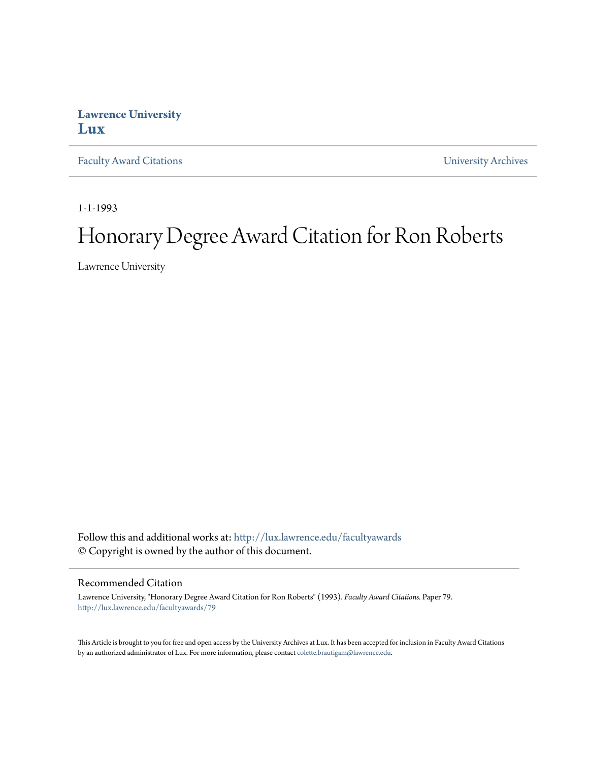## **Lawrence University [Lux](http://lux.lawrence.edu?utm_source=lux.lawrence.edu%2Ffacultyawards%2F79&utm_medium=PDF&utm_campaign=PDFCoverPages)**

[Faculty Award Citations](http://lux.lawrence.edu/facultyawards?utm_source=lux.lawrence.edu%2Ffacultyawards%2F79&utm_medium=PDF&utm_campaign=PDFCoverPages) **Example 2018** [University Archives](http://lux.lawrence.edu/archives?utm_source=lux.lawrence.edu%2Ffacultyawards%2F79&utm_medium=PDF&utm_campaign=PDFCoverPages)

1-1-1993

# Honorary Degree Award Citation for Ron Roberts

Lawrence University

Follow this and additional works at: [http://lux.lawrence.edu/facultyawards](http://lux.lawrence.edu/facultyawards?utm_source=lux.lawrence.edu%2Ffacultyawards%2F79&utm_medium=PDF&utm_campaign=PDFCoverPages) © Copyright is owned by the author of this document.

#### Recommended Citation

Lawrence University, "Honorary Degree Award Citation for Ron Roberts" (1993). *Faculty Award Citations.* Paper 79. [http://lux.lawrence.edu/facultyawards/79](http://lux.lawrence.edu/facultyawards/79?utm_source=lux.lawrence.edu%2Ffacultyawards%2F79&utm_medium=PDF&utm_campaign=PDFCoverPages)

This Article is brought to you for free and open access by the University Archives at Lux. It has been accepted for inclusion in Faculty Award Citations by an authorized administrator of Lux. For more information, please contact [colette.brautigam@lawrence.edu](mailto:colette.brautigam@lawrence.edu).